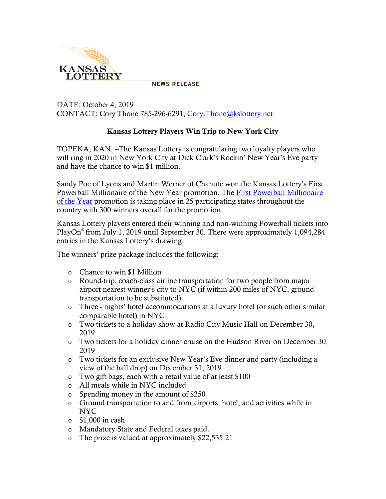

**NEWS RELEASE** 

DATE: October 4, 2019 CONTACT: Cory Thone 785-296-6291, Cory. Thone@kslottery.net

## Kansas Lottery Players Win Trip to New York City

TOPEKA, KAN. –The Kansas Lottery is congratulating two loyalty players who will ring in 2020 in New York City at Dick Clark's Rockin' New Year's Eve party and have the chance to win \$1 million.

Sandy Poe of Lyons and Martin Werner of Chanute won the Kansas Lottery's First Powerball Millionaire of the New Year promotion. The [First Powerball Millionaire](https://kslottery.com/marketingpromotionslist/first-powerball-millionaire-of-the-year/)  [of the Year](https://kslottery.com/marketingpromotionslist/first-powerball-millionaire-of-the-year/) promotion is taking place in 25 participating states throughout the country with 300 winners overall for the promotion.

Kansas Lottery players entered their winning and non-winning Powerball tickets into PlayOn® from July 1, 2019 until September 30. There were approximately 1,094,284 entries in the Kansas Lottery's drawing.

The winners' prize package includes the following:

- o Chance to win \$1 Million
- o Round-trip, coach-class airline transportation for two people from major airport nearest winner's city to NYC (if within 200 miles of NYC, ground transportation to be substituted)
- o Three nights' hotel accommodations at a luxury hotel (or such other similar comparable hotel) in NYC
- o Two tickets to a holiday show at Radio City Music Hall on December 30, 2019
- o Two tickets for a holiday dinner cruise on the Hudson River on December 30, 2019
- o Two tickets for an exclusive New Year's Eve dinner and party (including a view of the ball drop) on December 31, 2019
- o Two gift bags, each with a retail value of at least \$100
- o All meals while in NYC included
- o Spending money in the amount of \$250
- o Ground transportation to and from airports, hotel, and activities while in NYC
- $\circ$  \$1,000 in cash
- o Mandatory State and Federal taxes paid.
- o The prize is valued at approximately \$22,535.21